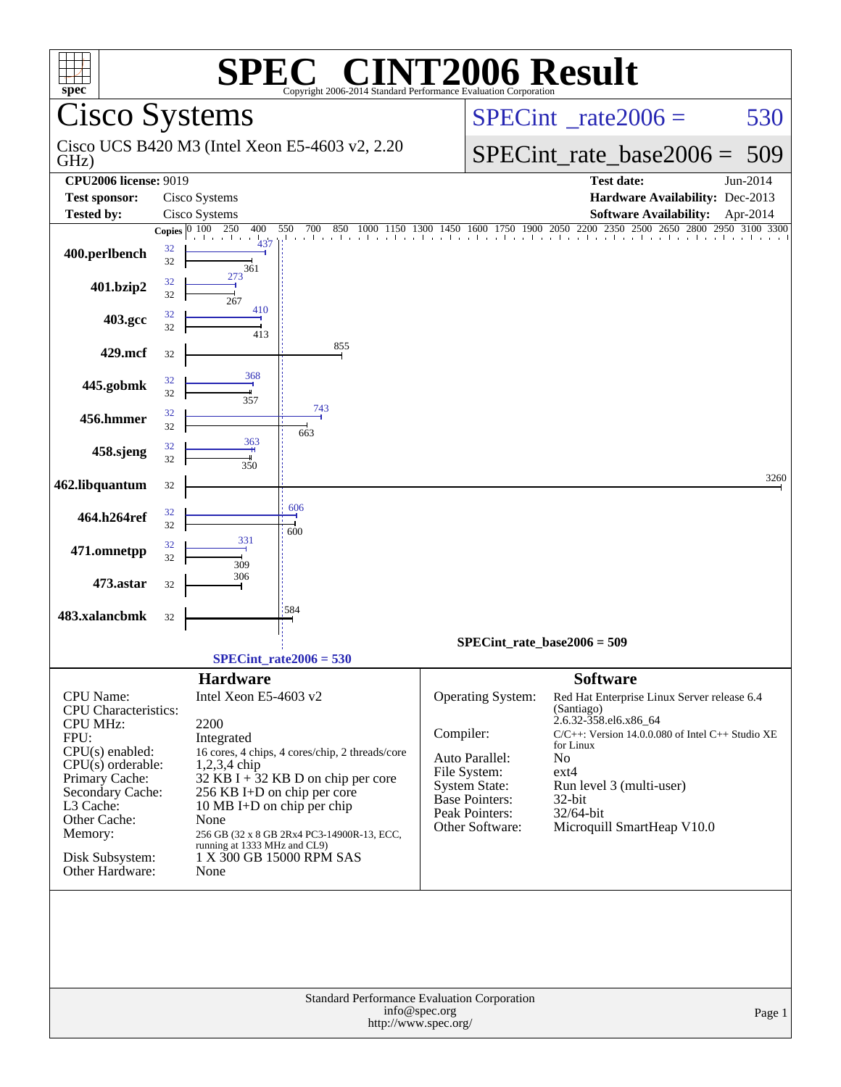| $spec^*$                                                               |                                                                                                             | SPI                                             | <b>EC® CINT2006 Result</b><br>Copyright 2006-2014 Standard Performance Evaluation Corporation |                                        |                                                                                     |          |  |  |  |
|------------------------------------------------------------------------|-------------------------------------------------------------------------------------------------------------|-------------------------------------------------|-----------------------------------------------------------------------------------------------|----------------------------------------|-------------------------------------------------------------------------------------|----------|--|--|--|
| <b>Cisco Systems</b>                                                   |                                                                                                             |                                                 |                                                                                               |                                        | $SPECint^{\circ}$ rate $2006 =$                                                     | 530      |  |  |  |
| GHz)                                                                   |                                                                                                             |                                                 | Cisco UCS B420 M3 (Intel Xeon E5-4603 v2, 2.20)                                               |                                        | $SPECint_rate\_base2006 =$                                                          | 509      |  |  |  |
| <b>CPU2006 license: 9019</b>                                           |                                                                                                             |                                                 |                                                                                               |                                        | <b>Test date:</b>                                                                   | Jun-2014 |  |  |  |
| <b>Test sponsor:</b>                                                   |                                                                                                             | Cisco Systems                                   |                                                                                               |                                        | Hardware Availability: Dec-2013                                                     |          |  |  |  |
| <b>Tested by:</b>                                                      |                                                                                                             | Cisco Systems                                   |                                                                                               |                                        | <b>Software Availability:</b>                                                       | Apr-2014 |  |  |  |
|                                                                        |                                                                                                             | Copies $0 \overline{100} \overline{250}$<br>400 | 550<br>700                                                                                    |                                        | 850 1000 1150 1300 1450 1600 1750 1900 2050 2200 2350 2500 2650 2800 2950 3100 3300 |          |  |  |  |
| 400.perlbench                                                          | 32<br>32                                                                                                    | المنابط والمتر<br>361                           |                                                                                               |                                        |                                                                                     |          |  |  |  |
| 401.bzip2                                                              | 32<br>32                                                                                                    | 273<br>267                                      |                                                                                               |                                        |                                                                                     |          |  |  |  |
| 403.gcc                                                                | 32<br>32                                                                                                    | 410<br>413                                      |                                                                                               |                                        |                                                                                     |          |  |  |  |
| 429.mcf                                                                | 32                                                                                                          |                                                 | 855                                                                                           |                                        |                                                                                     |          |  |  |  |
| 445.gobmk                                                              | 32<br>32                                                                                                    | 368<br>357                                      |                                                                                               |                                        |                                                                                     |          |  |  |  |
| 456.hmmer                                                              | 32<br>32                                                                                                    |                                                 | 743<br>663                                                                                    |                                        |                                                                                     |          |  |  |  |
| 458.sjeng                                                              | 32<br>32                                                                                                    | 363<br>350                                      |                                                                                               |                                        |                                                                                     |          |  |  |  |
| 462.libquantum                                                         | 32                                                                                                          |                                                 |                                                                                               |                                        |                                                                                     | 3260     |  |  |  |
| 464.h264ref                                                            | 32<br>32                                                                                                    |                                                 | 606<br>600                                                                                    |                                        |                                                                                     |          |  |  |  |
| 471.omnetpp                                                            | 32<br>32                                                                                                    | 331<br>309                                      |                                                                                               |                                        |                                                                                     |          |  |  |  |
| 473.astar                                                              | 32                                                                                                          | 306                                             |                                                                                               |                                        |                                                                                     |          |  |  |  |
| 483.xalancbmk                                                          | 32                                                                                                          |                                                 | 584                                                                                           |                                        |                                                                                     |          |  |  |  |
|                                                                        |                                                                                                             |                                                 |                                                                                               |                                        | $SPECint_rate_base2006 = 509$                                                       |          |  |  |  |
|                                                                        |                                                                                                             |                                                 | $SPECint_rate2006 = 530$                                                                      |                                        |                                                                                     |          |  |  |  |
|                                                                        |                                                                                                             | <b>Hardware</b>                                 |                                                                                               |                                        | <b>Software</b>                                                                     |          |  |  |  |
| CPU Name:                                                              |                                                                                                             | Intel Xeon E5-4603 v2                           |                                                                                               | Operating System:                      | Red Hat Enterprise Linux Server release 6.4                                         |          |  |  |  |
| <b>CPU</b> Characteristics:                                            |                                                                                                             |                                                 |                                                                                               |                                        | (Santiago)                                                                          |          |  |  |  |
| <b>CPU MHz:</b>                                                        |                                                                                                             | 2200                                            |                                                                                               |                                        | 2.6.32-358.el6.x86_64                                                               |          |  |  |  |
| FPU:                                                                   |                                                                                                             | Integrated                                      |                                                                                               | Compiler:                              | $C/C++$ : Version 14.0.0.080 of Intel $C++$ Studio XE<br>for Linux                  |          |  |  |  |
|                                                                        | $CPU(s)$ enabled:<br>16 cores, 4 chips, 4 cores/chip, 2 threads/core<br>$CPU(s)$ orderable:<br>1,2,3,4 chip |                                                 |                                                                                               |                                        | N <sub>o</sub>                                                                      |          |  |  |  |
| Primary Cache:                                                         | 32 KB I + $32$ KB D on chip per core                                                                        |                                                 |                                                                                               |                                        | $ext{4}$                                                                            |          |  |  |  |
| Secondary Cache:                                                       |                                                                                                             | 256 KB I+D on chip per core                     |                                                                                               | System State:<br><b>Base Pointers:</b> | Run level 3 (multi-user)<br>$32$ -bit                                               |          |  |  |  |
| L3 Cache:                                                              |                                                                                                             | 10 MB I+D on chip per chip                      |                                                                                               | Peak Pointers:                         | 32/64-bit                                                                           |          |  |  |  |
| Other Cache:<br>Memory:                                                |                                                                                                             | None                                            | 256 GB (32 x 8 GB 2Rx4 PC3-14900R-13, ECC,                                                    | Other Software:                        | Microquill SmartHeap V10.0                                                          |          |  |  |  |
|                                                                        |                                                                                                             | running at 1333 MHz and CL9)                    |                                                                                               |                                        |                                                                                     |          |  |  |  |
| Disk Subsystem:<br>Other Hardware:                                     |                                                                                                             | None                                            | 1 X 300 GB 15000 RPM SAS                                                                      |                                        |                                                                                     |          |  |  |  |
|                                                                        |                                                                                                             |                                                 |                                                                                               |                                        |                                                                                     |          |  |  |  |
|                                                                        |                                                                                                             |                                                 |                                                                                               |                                        |                                                                                     |          |  |  |  |
|                                                                        |                                                                                                             |                                                 |                                                                                               |                                        |                                                                                     |          |  |  |  |
|                                                                        |                                                                                                             |                                                 |                                                                                               |                                        |                                                                                     |          |  |  |  |
|                                                                        |                                                                                                             |                                                 |                                                                                               |                                        |                                                                                     |          |  |  |  |
| Standard Performance Evaluation Corporation<br>info@spec.org<br>Page 1 |                                                                                                             |                                                 |                                                                                               |                                        |                                                                                     |          |  |  |  |
| http://www.spec.org/                                                   |                                                                                                             |                                                 |                                                                                               |                                        |                                                                                     |          |  |  |  |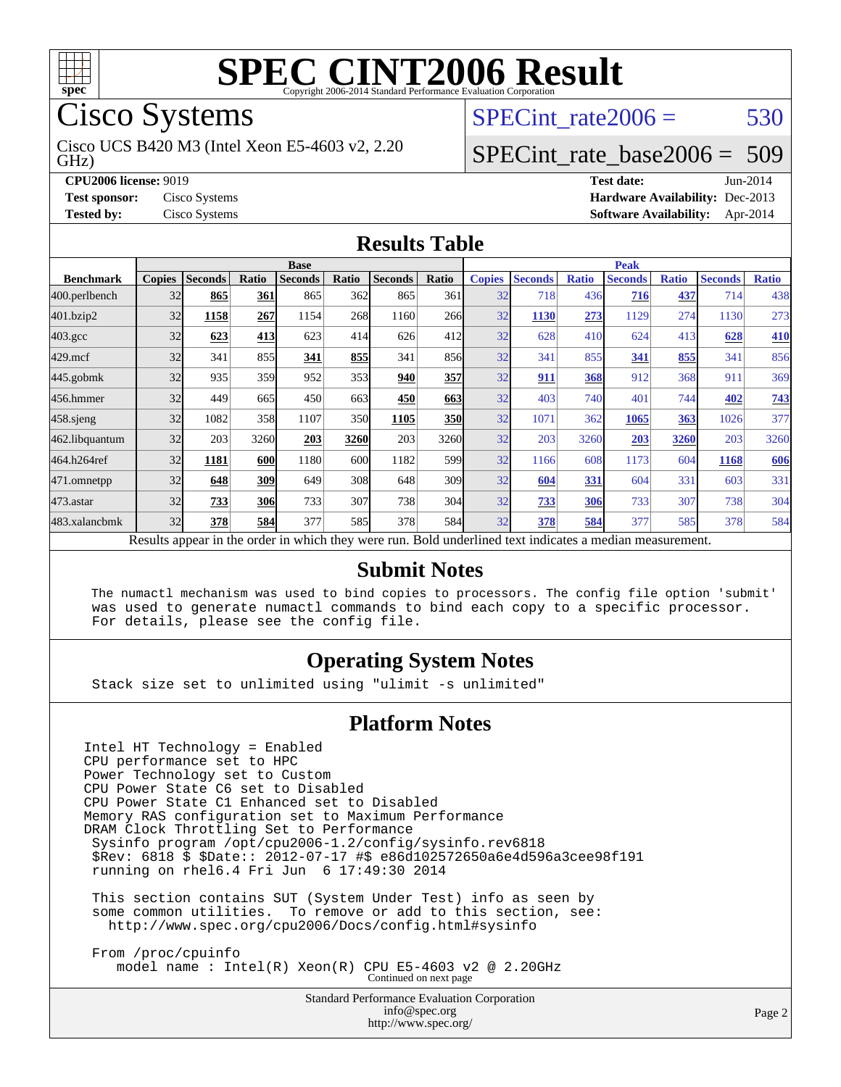

Cisco Systems

GHz) Cisco UCS B420 M3 (Intel Xeon E5-4603 v2, 2.20 SPECint rate $2006 = 530$ 

## [SPECint\\_rate\\_base2006 =](http://www.spec.org/auto/cpu2006/Docs/result-fields.html#SPECintratebase2006) 509

**[CPU2006 license:](http://www.spec.org/auto/cpu2006/Docs/result-fields.html#CPU2006license)** 9019 **[Test date:](http://www.spec.org/auto/cpu2006/Docs/result-fields.html#Testdate)** Jun-2014 **[Test sponsor:](http://www.spec.org/auto/cpu2006/Docs/result-fields.html#Testsponsor)** Cisco Systems **[Hardware Availability:](http://www.spec.org/auto/cpu2006/Docs/result-fields.html#HardwareAvailability)** Dec-2013 **[Tested by:](http://www.spec.org/auto/cpu2006/Docs/result-fields.html#Testedby)** Cisco Systems **[Software Availability:](http://www.spec.org/auto/cpu2006/Docs/result-fields.html#SoftwareAvailability)** Apr-2014

#### **[Results Table](http://www.spec.org/auto/cpu2006/Docs/result-fields.html#ResultsTable)**

|                                                                                                          | <b>Base</b>   |                |            |                |       |                |                  | <b>Peak</b>   |                |              |                |              |                |              |
|----------------------------------------------------------------------------------------------------------|---------------|----------------|------------|----------------|-------|----------------|------------------|---------------|----------------|--------------|----------------|--------------|----------------|--------------|
| <b>Benchmark</b>                                                                                         | <b>Copies</b> | <b>Seconds</b> | Ratio      | <b>Seconds</b> | Ratio | <b>Seconds</b> | Ratio            | <b>Copies</b> | <b>Seconds</b> | <b>Ratio</b> | <b>Seconds</b> | <b>Ratio</b> | <b>Seconds</b> | <b>Ratio</b> |
| 400.perlbench                                                                                            | 32            | 865            | 361        | 865            | 362   | 865            | 361              | 32            | 718            | 436          | 716            | 437          | 714            | 438          |
| 401.bzip2                                                                                                | 32            | 1158           | 267        | 1154           | 268   | 1160           | 266              | 32            | 1130           | 273          | 1129           | 274          | 1130           | 273          |
| $403.\mathrm{gcc}$                                                                                       | 32            | 623            | 413        | 623            | 414   | 626            | 412l             | 32            | 628            | 410          | 624            | 413          | 628            | 410          |
| $429$ .mcf                                                                                               | 32            | 341            | 855        | 341            | 855   | 341            | 856              | 32            | 341            | 855          | 341            | 855          | 341            | 856          |
| $445$ .gobmk                                                                                             | 32            | 935            | 359        | 952            | 353   | 940            | 357              | 32            | 911            | 368          | 912            | 368          | 911            | 369          |
| 456.hmmer                                                                                                | 32            | 449            | 665        | 450            | 663   | 450            | 663              | 32            | 403            | 740          | 401            | 744          | 402            | 743          |
| $458$ .sjeng                                                                                             | 32            | 1082           | 358        | 1107           | 350   | 1105           | <b>350</b>       | 32            | 1071           | 362          | 1065           | 363          | 1026           | 377          |
| 462.libquantum                                                                                           | 32            | 203            | 3260       | 203            | 3260  | 203            | 3260             | 32            | 203            | 3260         | 203            | 3260         | 203            | 3260         |
| 464.h264ref                                                                                              | 32            | 1181           | 600        | 1180           | 600   | 1182           | 599 <sub>l</sub> | 32            | 1166           | 608          | 1173           | 604          | 1168           | 606          |
| 471.omnetpp                                                                                              | 32            | 648            | 309        | 649            | 308   | 648            | 309              | 32            | 604            | 331          | 604            | 331          | 603            | 331          |
| $473$ . astar                                                                                            | 32            | 733            | <b>306</b> | 733            | 307   | 738            | 304              | 32            | 733            | 306          | 733            | 307          | 738            | 304          |
| 483.xalancbmk                                                                                            | 32            | 378            | 584        | 377            | 585   | 378            | 584              | 32            | 378            | 584          | 377            | 585          | 378            | 584          |
| Results appear in the order in which they were run. Bold underlined text indicates a median measurement. |               |                |            |                |       |                |                  |               |                |              |                |              |                |              |

#### **[Submit Notes](http://www.spec.org/auto/cpu2006/Docs/result-fields.html#SubmitNotes)**

 The numactl mechanism was used to bind copies to processors. The config file option 'submit' was used to generate numactl commands to bind each copy to a specific processor. For details, please see the config file.

#### **[Operating System Notes](http://www.spec.org/auto/cpu2006/Docs/result-fields.html#OperatingSystemNotes)**

Stack size set to unlimited using "ulimit -s unlimited"

#### **[Platform Notes](http://www.spec.org/auto/cpu2006/Docs/result-fields.html#PlatformNotes)**

Intel HT Technology = Enabled CPU performance set to HPC Power Technology set to Custom CPU Power State C6 set to Disabled CPU Power State C1 Enhanced set to Disabled Memory RAS configuration set to Maximum Performance DRAM Clock Throttling Set to Performance Sysinfo program /opt/cpu2006-1.2/config/sysinfo.rev6818 \$Rev: 6818 \$ \$Date:: 2012-07-17 #\$ e86d102572650a6e4d596a3cee98f191 running on rhel6.4 Fri Jun 6 17:49:30 2014

 This section contains SUT (System Under Test) info as seen by some common utilities. To remove or add to this section, see: <http://www.spec.org/cpu2006/Docs/config.html#sysinfo>

 From /proc/cpuinfo model name : Intel(R) Xeon(R) CPU E5-4603 v2 @ 2.20GHz Continued on next page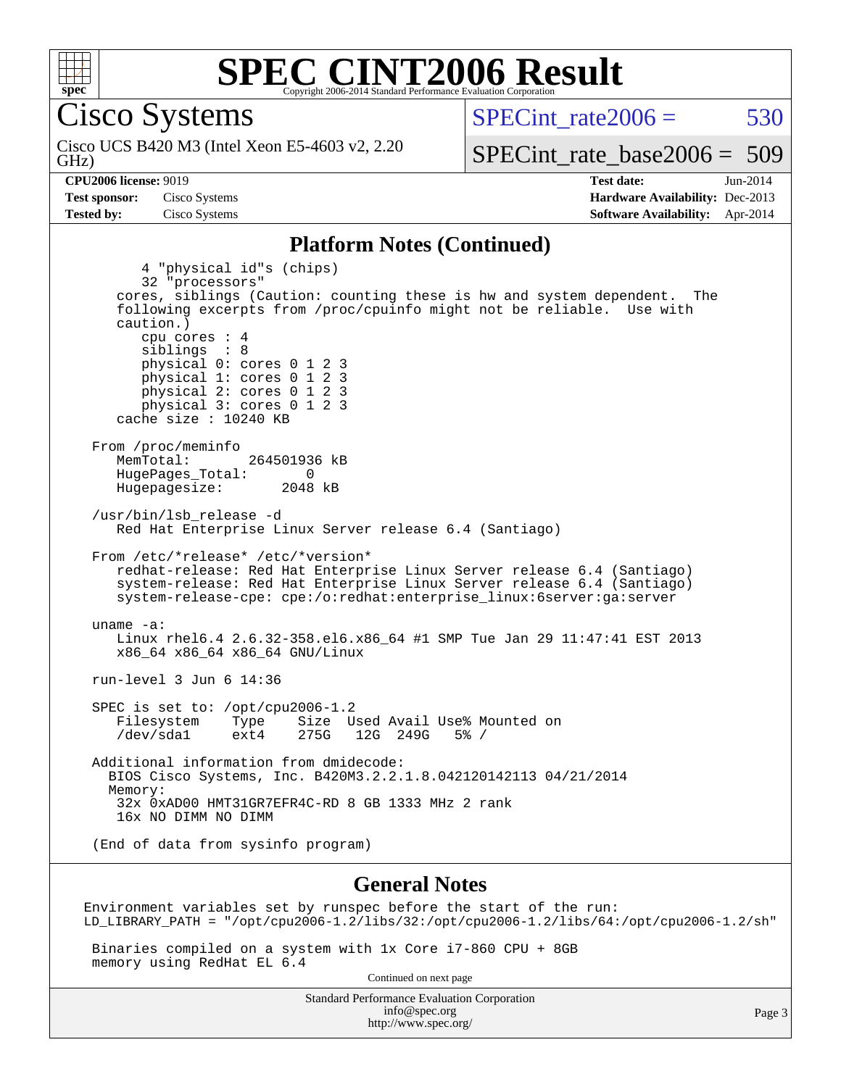

Cisco Systems

GHz) Cisco UCS B420 M3 (Intel Xeon E5-4603 v2, 2.20  $SPECint rate2006 = 530$ 

[SPECint\\_rate\\_base2006 =](http://www.spec.org/auto/cpu2006/Docs/result-fields.html#SPECintratebase2006) 509

**[CPU2006 license:](http://www.spec.org/auto/cpu2006/Docs/result-fields.html#CPU2006license)** 9019 **[Test date:](http://www.spec.org/auto/cpu2006/Docs/result-fields.html#Testdate)** Jun-2014 **[Test sponsor:](http://www.spec.org/auto/cpu2006/Docs/result-fields.html#Testsponsor)** Cisco Systems **[Hardware Availability:](http://www.spec.org/auto/cpu2006/Docs/result-fields.html#HardwareAvailability)** Dec-2013 **[Tested by:](http://www.spec.org/auto/cpu2006/Docs/result-fields.html#Testedby)** Cisco Systems **[Software Availability:](http://www.spec.org/auto/cpu2006/Docs/result-fields.html#SoftwareAvailability)** Apr-2014

#### **[Platform Notes \(Continued\)](http://www.spec.org/auto/cpu2006/Docs/result-fields.html#PlatformNotes)**

 4 "physical id"s (chips) 32 "processors" cores, siblings (Caution: counting these is hw and system dependent. The following excerpts from /proc/cpuinfo might not be reliable. Use with caution.) cpu cores : 4 siblings : 8 physical 0: cores 0 1 2 3 physical 1: cores 0 1 2 3 physical 2: cores 0 1 2 3 physical 3: cores 0 1 2 3 cache size : 10240 KB From /proc/meminfo<br>MemTotal: 264501936 kB HugePages\_Total: 0<br>Hugepagesize: 2048 kB Hugepagesize: /usr/bin/lsb\_release -d Red Hat Enterprise Linux Server release 6.4 (Santiago) From /etc/\*release\* /etc/\*version\* redhat-release: Red Hat Enterprise Linux Server release 6.4 (Santiago) system-release: Red Hat Enterprise Linux Server release 6.4 (Santiago) system-release-cpe: cpe:/o:redhat:enterprise\_linux:6server:ga:server uname -a: Linux rhel6.4 2.6.32-358.el6.x86\_64 #1 SMP Tue Jan 29 11:47:41 EST 2013 x86\_64 x86\_64 x86\_64 GNU/Linux run-level 3 Jun 6 14:36 SPEC is set to: /opt/cpu2006-1.2 Filesystem Type Size Used Avail Use% Mounted on<br>
/dev/sda1 ext4 275G 12G 249G 5% / 12G 249G 5% / Additional information from dmidecode: BIOS Cisco Systems, Inc. B420M3.2.2.1.8.042120142113 04/21/2014 Memory: 32x 0xAD00 HMT31GR7EFR4C-RD 8 GB 1333 MHz 2 rank 16x NO DIMM NO DIMM (End of data from sysinfo program) **[General Notes](http://www.spec.org/auto/cpu2006/Docs/result-fields.html#GeneralNotes)**

Environment variables set by runspec before the start of the run: LD\_LIBRARY\_PATH = "/opt/cpu2006-1.2/libs/32:/opt/cpu2006-1.2/libs/64:/opt/cpu2006-1.2/sh"

 Binaries compiled on a system with 1x Core i7-860 CPU + 8GB memory using RedHat EL 6.4

Continued on next page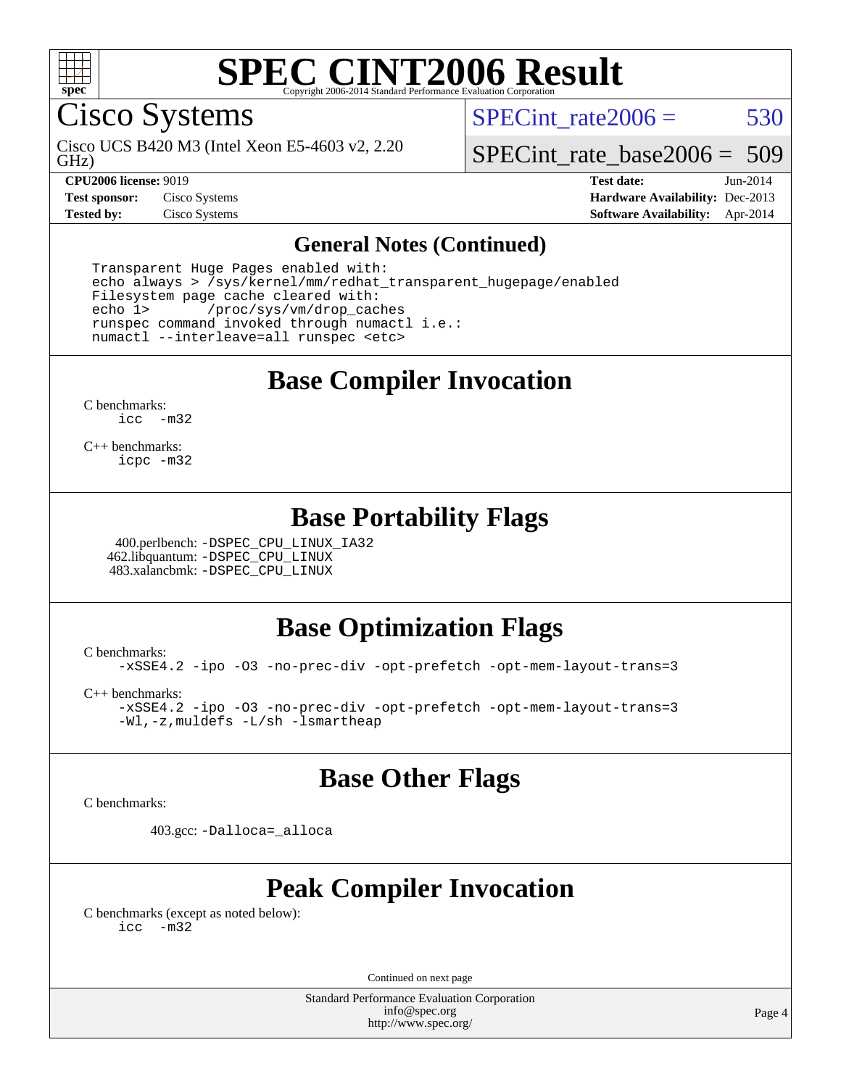

Cisco Systems

GHz) Cisco UCS B420 M3 (Intel Xeon E5-4603 v2, 2.20 SPECint rate $2006 = 530$ 

[SPECint\\_rate\\_base2006 =](http://www.spec.org/auto/cpu2006/Docs/result-fields.html#SPECintratebase2006) 509

**[CPU2006 license:](http://www.spec.org/auto/cpu2006/Docs/result-fields.html#CPU2006license)** 9019 **[Test date:](http://www.spec.org/auto/cpu2006/Docs/result-fields.html#Testdate)** Jun-2014 **[Test sponsor:](http://www.spec.org/auto/cpu2006/Docs/result-fields.html#Testsponsor)** Cisco Systems **[Hardware Availability:](http://www.spec.org/auto/cpu2006/Docs/result-fields.html#HardwareAvailability)** Dec-2013 **[Tested by:](http://www.spec.org/auto/cpu2006/Docs/result-fields.html#Testedby)** Cisco Systems **[Software Availability:](http://www.spec.org/auto/cpu2006/Docs/result-fields.html#SoftwareAvailability)** Apr-2014

#### **[General Notes \(Continued\)](http://www.spec.org/auto/cpu2006/Docs/result-fields.html#GeneralNotes)**

 Transparent Huge Pages enabled with: echo always > /sys/kernel/mm/redhat\_transparent\_hugepage/enabled Filesystem page cache cleared with: echo 1> /proc/sys/vm/drop\_caches runspec command invoked through numactl i.e.: numactl --interleave=all runspec <etc>

**[Base Compiler Invocation](http://www.spec.org/auto/cpu2006/Docs/result-fields.html#BaseCompilerInvocation)**

[C benchmarks](http://www.spec.org/auto/cpu2006/Docs/result-fields.html#Cbenchmarks): [icc -m32](http://www.spec.org/cpu2006/results/res2014q3/cpu2006-20140610-29853.flags.html#user_CCbase_intel_icc_5ff4a39e364c98233615fdd38438c6f2)

[C++ benchmarks:](http://www.spec.org/auto/cpu2006/Docs/result-fields.html#CXXbenchmarks) [icpc -m32](http://www.spec.org/cpu2006/results/res2014q3/cpu2006-20140610-29853.flags.html#user_CXXbase_intel_icpc_4e5a5ef1a53fd332b3c49e69c3330699)

### **[Base Portability Flags](http://www.spec.org/auto/cpu2006/Docs/result-fields.html#BasePortabilityFlags)**

 400.perlbench: [-DSPEC\\_CPU\\_LINUX\\_IA32](http://www.spec.org/cpu2006/results/res2014q3/cpu2006-20140610-29853.flags.html#b400.perlbench_baseCPORTABILITY_DSPEC_CPU_LINUX_IA32) 462.libquantum: [-DSPEC\\_CPU\\_LINUX](http://www.spec.org/cpu2006/results/res2014q3/cpu2006-20140610-29853.flags.html#b462.libquantum_baseCPORTABILITY_DSPEC_CPU_LINUX) 483.xalancbmk: [-DSPEC\\_CPU\\_LINUX](http://www.spec.org/cpu2006/results/res2014q3/cpu2006-20140610-29853.flags.html#b483.xalancbmk_baseCXXPORTABILITY_DSPEC_CPU_LINUX)

### **[Base Optimization Flags](http://www.spec.org/auto/cpu2006/Docs/result-fields.html#BaseOptimizationFlags)**

[C benchmarks](http://www.spec.org/auto/cpu2006/Docs/result-fields.html#Cbenchmarks):

[-xSSE4.2](http://www.spec.org/cpu2006/results/res2014q3/cpu2006-20140610-29853.flags.html#user_CCbase_f-xSSE42_f91528193cf0b216347adb8b939d4107) [-ipo](http://www.spec.org/cpu2006/results/res2014q3/cpu2006-20140610-29853.flags.html#user_CCbase_f-ipo) [-O3](http://www.spec.org/cpu2006/results/res2014q3/cpu2006-20140610-29853.flags.html#user_CCbase_f-O3) [-no-prec-div](http://www.spec.org/cpu2006/results/res2014q3/cpu2006-20140610-29853.flags.html#user_CCbase_f-no-prec-div) [-opt-prefetch](http://www.spec.org/cpu2006/results/res2014q3/cpu2006-20140610-29853.flags.html#user_CCbase_f-opt-prefetch) [-opt-mem-layout-trans=3](http://www.spec.org/cpu2006/results/res2014q3/cpu2006-20140610-29853.flags.html#user_CCbase_f-opt-mem-layout-trans_a7b82ad4bd7abf52556d4961a2ae94d5)

[C++ benchmarks:](http://www.spec.org/auto/cpu2006/Docs/result-fields.html#CXXbenchmarks)

[-xSSE4.2](http://www.spec.org/cpu2006/results/res2014q3/cpu2006-20140610-29853.flags.html#user_CXXbase_f-xSSE42_f91528193cf0b216347adb8b939d4107) [-ipo](http://www.spec.org/cpu2006/results/res2014q3/cpu2006-20140610-29853.flags.html#user_CXXbase_f-ipo) [-O3](http://www.spec.org/cpu2006/results/res2014q3/cpu2006-20140610-29853.flags.html#user_CXXbase_f-O3) [-no-prec-div](http://www.spec.org/cpu2006/results/res2014q3/cpu2006-20140610-29853.flags.html#user_CXXbase_f-no-prec-div) [-opt-prefetch](http://www.spec.org/cpu2006/results/res2014q3/cpu2006-20140610-29853.flags.html#user_CXXbase_f-opt-prefetch) [-opt-mem-layout-trans=3](http://www.spec.org/cpu2006/results/res2014q3/cpu2006-20140610-29853.flags.html#user_CXXbase_f-opt-mem-layout-trans_a7b82ad4bd7abf52556d4961a2ae94d5) [-Wl,-z,muldefs](http://www.spec.org/cpu2006/results/res2014q3/cpu2006-20140610-29853.flags.html#user_CXXbase_link_force_multiple1_74079c344b956b9658436fd1b6dd3a8a) [-L/sh -lsmartheap](http://www.spec.org/cpu2006/results/res2014q3/cpu2006-20140610-29853.flags.html#user_CXXbase_SmartHeap_32f6c82aa1ed9c52345d30cf6e4a0499)

#### **[Base Other Flags](http://www.spec.org/auto/cpu2006/Docs/result-fields.html#BaseOtherFlags)**

[C benchmarks](http://www.spec.org/auto/cpu2006/Docs/result-fields.html#Cbenchmarks):

403.gcc: [-Dalloca=\\_alloca](http://www.spec.org/cpu2006/results/res2014q3/cpu2006-20140610-29853.flags.html#b403.gcc_baseEXTRA_CFLAGS_Dalloca_be3056838c12de2578596ca5467af7f3)

### **[Peak Compiler Invocation](http://www.spec.org/auto/cpu2006/Docs/result-fields.html#PeakCompilerInvocation)**

[C benchmarks \(except as noted below\)](http://www.spec.org/auto/cpu2006/Docs/result-fields.html#Cbenchmarksexceptasnotedbelow): [icc -m32](http://www.spec.org/cpu2006/results/res2014q3/cpu2006-20140610-29853.flags.html#user_CCpeak_intel_icc_5ff4a39e364c98233615fdd38438c6f2)

Continued on next page

Standard Performance Evaluation Corporation [info@spec.org](mailto:info@spec.org) <http://www.spec.org/>

Page 4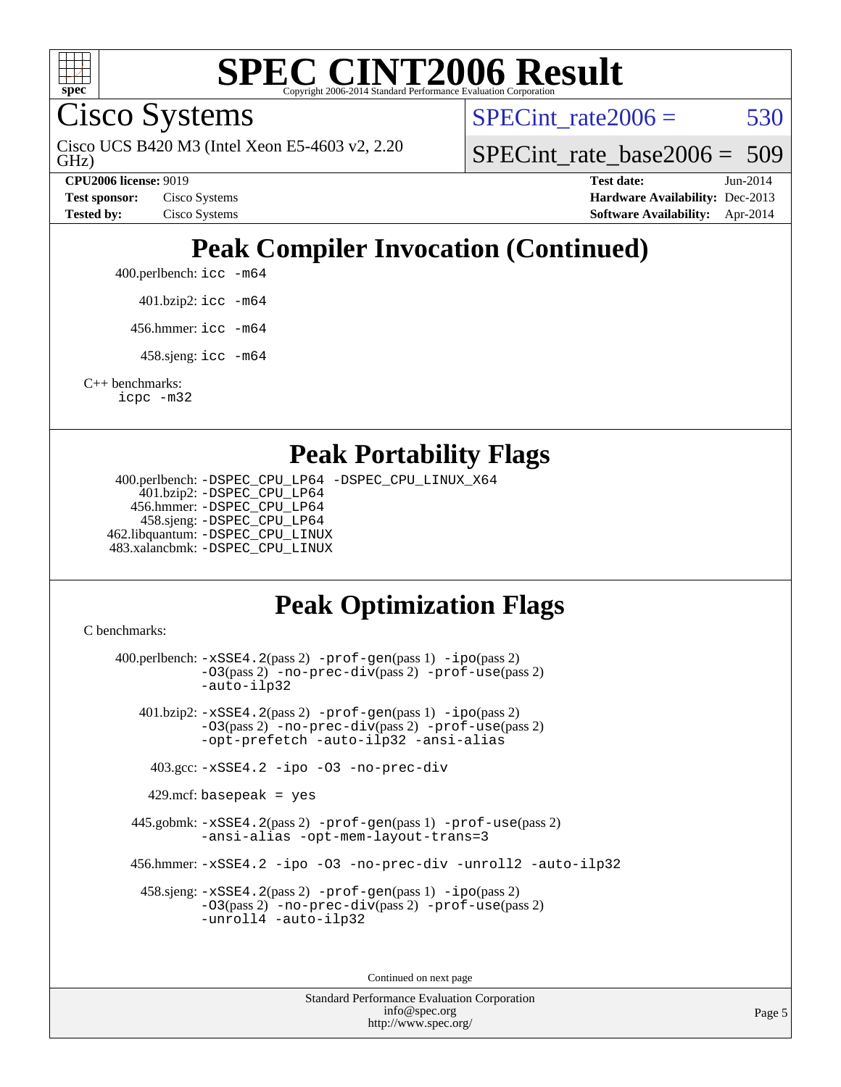

Cisco Systems

GHz) Cisco UCS B420 M3 (Intel Xeon E5-4603 v2, 2.20 SPECint rate $2006 = 530$ 

SPECint rate base2006 =  $509$ 

**[CPU2006 license:](http://www.spec.org/auto/cpu2006/Docs/result-fields.html#CPU2006license)** 9019 **[Test date:](http://www.spec.org/auto/cpu2006/Docs/result-fields.html#Testdate)** Jun-2014 **[Test sponsor:](http://www.spec.org/auto/cpu2006/Docs/result-fields.html#Testsponsor)** Cisco Systems **[Hardware Availability:](http://www.spec.org/auto/cpu2006/Docs/result-fields.html#HardwareAvailability)** Dec-2013 **[Tested by:](http://www.spec.org/auto/cpu2006/Docs/result-fields.html#Testedby)** Cisco Systems **[Software Availability:](http://www.spec.org/auto/cpu2006/Docs/result-fields.html#SoftwareAvailability)** Apr-2014

## **[Peak Compiler Invocation \(Continued\)](http://www.spec.org/auto/cpu2006/Docs/result-fields.html#PeakCompilerInvocation)**

400.perlbench: [icc -m64](http://www.spec.org/cpu2006/results/res2014q3/cpu2006-20140610-29853.flags.html#user_peakCCLD400_perlbench_intel_icc_64bit_bda6cc9af1fdbb0edc3795bac97ada53)

401.bzip2: [icc -m64](http://www.spec.org/cpu2006/results/res2014q3/cpu2006-20140610-29853.flags.html#user_peakCCLD401_bzip2_intel_icc_64bit_bda6cc9af1fdbb0edc3795bac97ada53)

456.hmmer: [icc -m64](http://www.spec.org/cpu2006/results/res2014q3/cpu2006-20140610-29853.flags.html#user_peakCCLD456_hmmer_intel_icc_64bit_bda6cc9af1fdbb0edc3795bac97ada53)

458.sjeng: [icc -m64](http://www.spec.org/cpu2006/results/res2014q3/cpu2006-20140610-29853.flags.html#user_peakCCLD458_sjeng_intel_icc_64bit_bda6cc9af1fdbb0edc3795bac97ada53)

[C++ benchmarks:](http://www.spec.org/auto/cpu2006/Docs/result-fields.html#CXXbenchmarks) [icpc -m32](http://www.spec.org/cpu2006/results/res2014q3/cpu2006-20140610-29853.flags.html#user_CXXpeak_intel_icpc_4e5a5ef1a53fd332b3c49e69c3330699)

#### **[Peak Portability Flags](http://www.spec.org/auto/cpu2006/Docs/result-fields.html#PeakPortabilityFlags)**

 400.perlbench: [-DSPEC\\_CPU\\_LP64](http://www.spec.org/cpu2006/results/res2014q3/cpu2006-20140610-29853.flags.html#b400.perlbench_peakCPORTABILITY_DSPEC_CPU_LP64) [-DSPEC\\_CPU\\_LINUX\\_X64](http://www.spec.org/cpu2006/results/res2014q3/cpu2006-20140610-29853.flags.html#b400.perlbench_peakCPORTABILITY_DSPEC_CPU_LINUX_X64) 401.bzip2: [-DSPEC\\_CPU\\_LP64](http://www.spec.org/cpu2006/results/res2014q3/cpu2006-20140610-29853.flags.html#suite_peakCPORTABILITY401_bzip2_DSPEC_CPU_LP64) 456.hmmer: [-DSPEC\\_CPU\\_LP64](http://www.spec.org/cpu2006/results/res2014q3/cpu2006-20140610-29853.flags.html#suite_peakCPORTABILITY456_hmmer_DSPEC_CPU_LP64) 458.sjeng: [-DSPEC\\_CPU\\_LP64](http://www.spec.org/cpu2006/results/res2014q3/cpu2006-20140610-29853.flags.html#suite_peakCPORTABILITY458_sjeng_DSPEC_CPU_LP64) 462.libquantum: [-DSPEC\\_CPU\\_LINUX](http://www.spec.org/cpu2006/results/res2014q3/cpu2006-20140610-29853.flags.html#b462.libquantum_peakCPORTABILITY_DSPEC_CPU_LINUX) 483.xalancbmk: [-DSPEC\\_CPU\\_LINUX](http://www.spec.org/cpu2006/results/res2014q3/cpu2006-20140610-29853.flags.html#b483.xalancbmk_peakCXXPORTABILITY_DSPEC_CPU_LINUX)

### **[Peak Optimization Flags](http://www.spec.org/auto/cpu2006/Docs/result-fields.html#PeakOptimizationFlags)**

[C benchmarks](http://www.spec.org/auto/cpu2006/Docs/result-fields.html#Cbenchmarks):

 400.perlbench: [-xSSE4.2](http://www.spec.org/cpu2006/results/res2014q3/cpu2006-20140610-29853.flags.html#user_peakPASS2_CFLAGSPASS2_LDCFLAGS400_perlbench_f-xSSE42_f91528193cf0b216347adb8b939d4107)(pass 2) [-prof-gen](http://www.spec.org/cpu2006/results/res2014q3/cpu2006-20140610-29853.flags.html#user_peakPASS1_CFLAGSPASS1_LDCFLAGS400_perlbench_prof_gen_e43856698f6ca7b7e442dfd80e94a8fc)(pass 1) [-ipo](http://www.spec.org/cpu2006/results/res2014q3/cpu2006-20140610-29853.flags.html#user_peakPASS2_CFLAGSPASS2_LDCFLAGS400_perlbench_f-ipo)(pass 2) [-O3](http://www.spec.org/cpu2006/results/res2014q3/cpu2006-20140610-29853.flags.html#user_peakPASS2_CFLAGSPASS2_LDCFLAGS400_perlbench_f-O3)(pass 2) [-no-prec-div](http://www.spec.org/cpu2006/results/res2014q3/cpu2006-20140610-29853.flags.html#user_peakPASS2_CFLAGSPASS2_LDCFLAGS400_perlbench_f-no-prec-div)(pass 2) [-prof-use](http://www.spec.org/cpu2006/results/res2014q3/cpu2006-20140610-29853.flags.html#user_peakPASS2_CFLAGSPASS2_LDCFLAGS400_perlbench_prof_use_bccf7792157ff70d64e32fe3e1250b55)(pass 2) [-auto-ilp32](http://www.spec.org/cpu2006/results/res2014q3/cpu2006-20140610-29853.flags.html#user_peakCOPTIMIZE400_perlbench_f-auto-ilp32) 401.bzip2: [-xSSE4.2](http://www.spec.org/cpu2006/results/res2014q3/cpu2006-20140610-29853.flags.html#user_peakPASS2_CFLAGSPASS2_LDCFLAGS401_bzip2_f-xSSE42_f91528193cf0b216347adb8b939d4107)(pass 2) [-prof-gen](http://www.spec.org/cpu2006/results/res2014q3/cpu2006-20140610-29853.flags.html#user_peakPASS1_CFLAGSPASS1_LDCFLAGS401_bzip2_prof_gen_e43856698f6ca7b7e442dfd80e94a8fc)(pass 1) [-ipo](http://www.spec.org/cpu2006/results/res2014q3/cpu2006-20140610-29853.flags.html#user_peakPASS2_CFLAGSPASS2_LDCFLAGS401_bzip2_f-ipo)(pass 2) [-O3](http://www.spec.org/cpu2006/results/res2014q3/cpu2006-20140610-29853.flags.html#user_peakPASS2_CFLAGSPASS2_LDCFLAGS401_bzip2_f-O3)(pass 2) [-no-prec-div](http://www.spec.org/cpu2006/results/res2014q3/cpu2006-20140610-29853.flags.html#user_peakPASS2_CFLAGSPASS2_LDCFLAGS401_bzip2_f-no-prec-div)(pass 2) [-prof-use](http://www.spec.org/cpu2006/results/res2014q3/cpu2006-20140610-29853.flags.html#user_peakPASS2_CFLAGSPASS2_LDCFLAGS401_bzip2_prof_use_bccf7792157ff70d64e32fe3e1250b55)(pass 2) [-opt-prefetch](http://www.spec.org/cpu2006/results/res2014q3/cpu2006-20140610-29853.flags.html#user_peakCOPTIMIZE401_bzip2_f-opt-prefetch) [-auto-ilp32](http://www.spec.org/cpu2006/results/res2014q3/cpu2006-20140610-29853.flags.html#user_peakCOPTIMIZE401_bzip2_f-auto-ilp32) [-ansi-alias](http://www.spec.org/cpu2006/results/res2014q3/cpu2006-20140610-29853.flags.html#user_peakCOPTIMIZE401_bzip2_f-ansi-alias) 403.gcc: [-xSSE4.2](http://www.spec.org/cpu2006/results/res2014q3/cpu2006-20140610-29853.flags.html#user_peakCOPTIMIZE403_gcc_f-xSSE42_f91528193cf0b216347adb8b939d4107) [-ipo](http://www.spec.org/cpu2006/results/res2014q3/cpu2006-20140610-29853.flags.html#user_peakCOPTIMIZE403_gcc_f-ipo) [-O3](http://www.spec.org/cpu2006/results/res2014q3/cpu2006-20140610-29853.flags.html#user_peakCOPTIMIZE403_gcc_f-O3) [-no-prec-div](http://www.spec.org/cpu2006/results/res2014q3/cpu2006-20140610-29853.flags.html#user_peakCOPTIMIZE403_gcc_f-no-prec-div)  $429$ .mcf: basepeak = yes 445.gobmk: [-xSSE4.2](http://www.spec.org/cpu2006/results/res2014q3/cpu2006-20140610-29853.flags.html#user_peakPASS2_CFLAGSPASS2_LDCFLAGS445_gobmk_f-xSSE42_f91528193cf0b216347adb8b939d4107)(pass 2) [-prof-gen](http://www.spec.org/cpu2006/results/res2014q3/cpu2006-20140610-29853.flags.html#user_peakPASS1_CFLAGSPASS1_LDCFLAGS445_gobmk_prof_gen_e43856698f6ca7b7e442dfd80e94a8fc)(pass 1) [-prof-use](http://www.spec.org/cpu2006/results/res2014q3/cpu2006-20140610-29853.flags.html#user_peakPASS2_CFLAGSPASS2_LDCFLAGS445_gobmk_prof_use_bccf7792157ff70d64e32fe3e1250b55)(pass 2) [-ansi-alias](http://www.spec.org/cpu2006/results/res2014q3/cpu2006-20140610-29853.flags.html#user_peakCOPTIMIZE445_gobmk_f-ansi-alias) [-opt-mem-layout-trans=3](http://www.spec.org/cpu2006/results/res2014q3/cpu2006-20140610-29853.flags.html#user_peakCOPTIMIZE445_gobmk_f-opt-mem-layout-trans_a7b82ad4bd7abf52556d4961a2ae94d5) 456.hmmer: [-xSSE4.2](http://www.spec.org/cpu2006/results/res2014q3/cpu2006-20140610-29853.flags.html#user_peakCOPTIMIZE456_hmmer_f-xSSE42_f91528193cf0b216347adb8b939d4107) [-ipo](http://www.spec.org/cpu2006/results/res2014q3/cpu2006-20140610-29853.flags.html#user_peakCOPTIMIZE456_hmmer_f-ipo) [-O3](http://www.spec.org/cpu2006/results/res2014q3/cpu2006-20140610-29853.flags.html#user_peakCOPTIMIZE456_hmmer_f-O3) [-no-prec-div](http://www.spec.org/cpu2006/results/res2014q3/cpu2006-20140610-29853.flags.html#user_peakCOPTIMIZE456_hmmer_f-no-prec-div) [-unroll2](http://www.spec.org/cpu2006/results/res2014q3/cpu2006-20140610-29853.flags.html#user_peakCOPTIMIZE456_hmmer_f-unroll_784dae83bebfb236979b41d2422d7ec2) [-auto-ilp32](http://www.spec.org/cpu2006/results/res2014q3/cpu2006-20140610-29853.flags.html#user_peakCOPTIMIZE456_hmmer_f-auto-ilp32) 458.sjeng: [-xSSE4.2](http://www.spec.org/cpu2006/results/res2014q3/cpu2006-20140610-29853.flags.html#user_peakPASS2_CFLAGSPASS2_LDCFLAGS458_sjeng_f-xSSE42_f91528193cf0b216347adb8b939d4107)(pass 2) [-prof-gen](http://www.spec.org/cpu2006/results/res2014q3/cpu2006-20140610-29853.flags.html#user_peakPASS1_CFLAGSPASS1_LDCFLAGS458_sjeng_prof_gen_e43856698f6ca7b7e442dfd80e94a8fc)(pass 1) [-ipo](http://www.spec.org/cpu2006/results/res2014q3/cpu2006-20140610-29853.flags.html#user_peakPASS2_CFLAGSPASS2_LDCFLAGS458_sjeng_f-ipo)(pass 2) [-O3](http://www.spec.org/cpu2006/results/res2014q3/cpu2006-20140610-29853.flags.html#user_peakPASS2_CFLAGSPASS2_LDCFLAGS458_sjeng_f-O3)(pass 2) [-no-prec-div](http://www.spec.org/cpu2006/results/res2014q3/cpu2006-20140610-29853.flags.html#user_peakPASS2_CFLAGSPASS2_LDCFLAGS458_sjeng_f-no-prec-div)(pass 2) [-prof-use](http://www.spec.org/cpu2006/results/res2014q3/cpu2006-20140610-29853.flags.html#user_peakPASS2_CFLAGSPASS2_LDCFLAGS458_sjeng_prof_use_bccf7792157ff70d64e32fe3e1250b55)(pass 2) [-unroll4](http://www.spec.org/cpu2006/results/res2014q3/cpu2006-20140610-29853.flags.html#user_peakCOPTIMIZE458_sjeng_f-unroll_4e5e4ed65b7fd20bdcd365bec371b81f) [-auto-ilp32](http://www.spec.org/cpu2006/results/res2014q3/cpu2006-20140610-29853.flags.html#user_peakCOPTIMIZE458_sjeng_f-auto-ilp32) Continued on next page